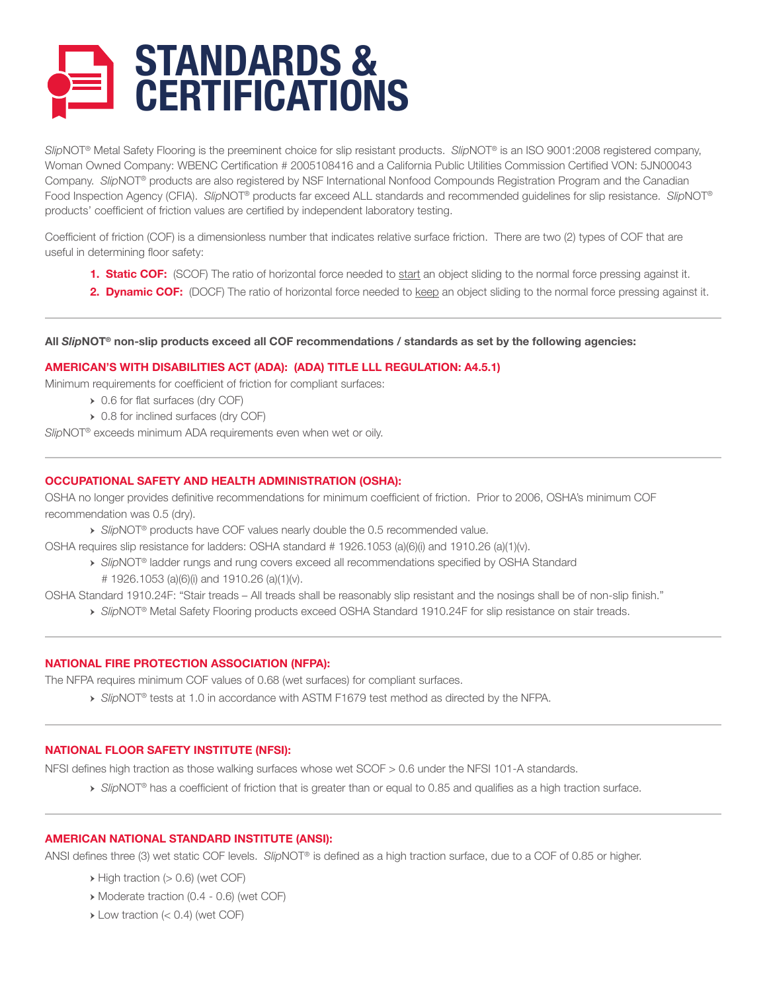

*Slip*NOT® Metal Safety Flooring is the preeminent choice for slip resistant products. *Slip*NOT® is an ISO 9001:2008 registered company, Woman Owned Company: WBENC Certification # 2005108416 and a California Public Utilities Commission Certified VON: 5JN00043 Company. *Slip*NOT® products are also registered by NSF International Nonfood Compounds Registration Program and the Canadian Food Inspection Agency (CFIA). *Slip*NOT® products far exceed ALL standards and recommended guidelines for slip resistance. *Slip*NOT® products' coefficient of friction values are certified by independent laboratory testing.

Coefficient of friction (COF) is a dimensionless number that indicates relative surface friction. There are two (2) types of COF that are useful in determining floor safety:

- **1. Static COF:** (SCOF) The ratio of horizontal force needed to start an object sliding to the normal force pressing against it.
- **2. Dynamic COF:** (DOCF) The ratio of horizontal force needed to keep an object sliding to the normal force pressing against it.

## **All** *Slip***NOT® non-slip products exceed all COF recommendations / standards as set by the following agencies:**

# **AMERICAN'S WITH DISABILITIES ACT (ADA): (ADA) TITLE LLL REGULATION: A4.5.1)**

Minimum requirements for coefficient of friction for compliant surfaces:

- → 0.6 for flat surfaces (dry COF)
- → 0.8 for inclined surfaces (dry COF)

*Slip*NOT® exceeds minimum ADA requirements even when wet or oily.

## **OCCUPATIONAL SAFETY AND HEALTH ADMINISTRATION (OSHA):**

OSHA no longer provides definitive recommendations for minimum coefficient of friction. Prior to 2006, OSHA's minimum COF recommendation was 0.5 (dry).

→ *Slip*NOT® products have COF values nearly double the 0.5 recommended value.

OSHA requires slip resistance for ladders: OSHA standard # 1926.1053 (a)(6)(i) and 1910.26 (a)(1)(v).

- → *Slip*NOT® ladder rungs and rung covers exceed all recommendations specified by OSHA Standard # 1926.1053 (a)(6)(i) and 1910.26 (a)(1)(v).
- OSHA Standard 1910.24F: "Stair treads All treads shall be reasonably slip resistant and the nosings shall be of non-slip finish."
	- → *Slip*NOT® Metal Safety Flooring products exceed OSHA Standard 1910.24F for slip resistance on stair treads.

## **NATIONAL FIRE PROTECTION ASSOCIATION (NFPA):**

The NFPA requires minimum COF values of 0.68 (wet surfaces) for compliant surfaces.

→ *Slip*NOT® tests at 1.0 in accordance with ASTM F1679 test method as directed by the NFPA.

## **NATIONAL FLOOR SAFETY INSTITUTE (NFSI):**

NFSI defines high traction as those walking surfaces whose wet SCOF > 0.6 under the NFSI 101-A standards.

→ *Slip*NOT® has a coefficient of friction that is greater than or equal to 0.85 and qualifies as a high traction surface.

## **AMERICAN NATIONAL STANDARD INSTITUTE (ANSI):**

ANSI defines three (3) wet static COF levels. *Slip*NOT® is defined as a high traction surface, due to a COF of 0.85 or higher.

- $\rightarrow$  High traction ( $> 0.6$ ) (wet COF)
- → Moderate traction (0.4 0.6) (wet COF)
- $\triangleright$  Low traction (< 0.4) (wet COF)